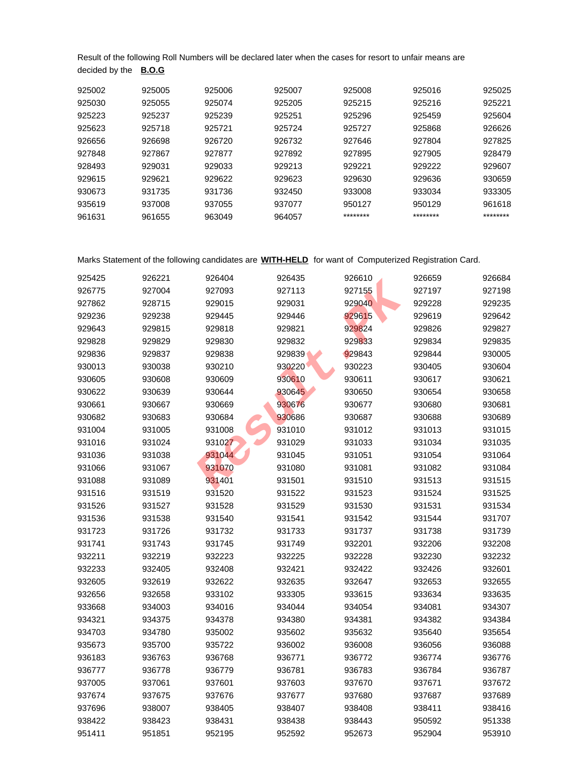Result of the following Roll Numbers will be declared later when the cases for resort to unfair means are decided by the **B.O.G**

| 925002 | 925005 | 925006 | 925007 | 925008   | 925016   | 925025   |
|--------|--------|--------|--------|----------|----------|----------|
| 925030 | 925055 | 925074 | 925205 | 925215   | 925216   | 925221   |
| 925223 | 925237 | 925239 | 925251 | 925296   | 925459   | 925604   |
| 925623 | 925718 | 925721 | 925724 | 925727   | 925868   | 926626   |
| 926656 | 926698 | 926720 | 926732 | 927646   | 927804   | 927825   |
| 927848 | 927867 | 927877 | 927892 | 927895   | 927905   | 928479   |
| 928493 | 929031 | 929033 | 929213 | 929221   | 929222   | 929607   |
| 929615 | 929621 | 929622 | 929623 | 929630   | 929636   | 930659   |
| 930673 | 931735 | 931736 | 932450 | 933008   | 933034   | 933305   |
| 935619 | 937008 | 937055 | 937077 | 950127   | 950129   | 961618   |
| 961631 | 961655 | 963049 | 964057 | ******** | ******** | ******** |

Marks Statement of the following candidates are **WITH-HELD** for want of Computerized Registration Card.

| 925425 | 926221 | 926404 | 926435 | 926610 | 926659 | 926684 |
|--------|--------|--------|--------|--------|--------|--------|
| 926775 | 927004 | 927093 | 927113 | 927155 | 927197 | 927198 |
| 927862 | 928715 | 929015 | 929031 | 929040 | 929228 | 929235 |
| 929236 | 929238 | 929445 | 929446 | 929615 | 929619 | 929642 |
| 929643 | 929815 | 929818 | 929821 | 929824 | 929826 | 929827 |
| 929828 | 929829 | 929830 | 929832 | 929833 | 929834 | 929835 |
| 929836 | 929837 | 929838 | 929839 | 929843 | 929844 | 930005 |
| 930013 | 930038 | 930210 | 930220 | 930223 | 930405 | 930604 |
| 930605 | 930608 | 930609 | 930610 | 930611 | 930617 | 930621 |
| 930622 | 930639 | 930644 | 930645 | 930650 | 930654 | 930658 |
| 930661 | 930667 | 930669 | 930676 | 930677 | 930680 | 930681 |
| 930682 | 930683 | 930684 | 930686 | 930687 | 930688 | 930689 |
| 931004 | 931005 | 931008 | 931010 | 931012 | 931013 | 931015 |
| 931016 | 931024 | 931027 | 931029 | 931033 | 931034 | 931035 |
| 931036 | 931038 | 931044 | 931045 | 931051 | 931054 | 931064 |
| 931066 | 931067 | 931070 | 931080 | 931081 | 931082 | 931084 |
| 931088 | 931089 | 931401 | 931501 | 931510 | 931513 | 931515 |
| 931516 | 931519 | 931520 | 931522 | 931523 | 931524 | 931525 |
| 931526 | 931527 | 931528 | 931529 | 931530 | 931531 | 931534 |
| 931536 | 931538 | 931540 | 931541 | 931542 | 931544 | 931707 |
| 931723 | 931726 | 931732 | 931733 | 931737 | 931738 | 931739 |
| 931741 | 931743 | 931745 | 931749 | 932201 | 932206 | 932208 |
| 932211 | 932219 | 932223 | 932225 | 932228 | 932230 | 932232 |
| 932233 | 932405 | 932408 | 932421 | 932422 | 932426 | 932601 |
| 932605 | 932619 | 932622 | 932635 | 932647 | 932653 | 932655 |
| 932656 | 932658 | 933102 | 933305 | 933615 | 933634 | 933635 |
| 933668 | 934003 | 934016 | 934044 | 934054 | 934081 | 934307 |
| 934321 | 934375 | 934378 | 934380 | 934381 | 934382 | 934384 |
| 934703 | 934780 | 935002 | 935602 | 935632 | 935640 | 935654 |
| 935673 | 935700 | 935722 | 936002 | 936008 | 936056 | 936088 |
| 936183 | 936763 | 936768 | 936771 | 936772 | 936774 | 936776 |
| 936777 | 936778 | 936779 | 936781 | 936783 | 936784 | 936787 |
| 937005 | 937061 | 937601 | 937603 | 937670 | 937671 | 937672 |
| 937674 | 937675 | 937676 | 937677 | 937680 | 937687 | 937689 |
| 937696 | 938007 | 938405 | 938407 | 938408 | 938411 | 938416 |
| 938422 | 938423 | 938431 | 938438 | 938443 | 950592 | 951338 |
| 951411 | 951851 | 952195 | 952592 | 952673 | 952904 | 953910 |